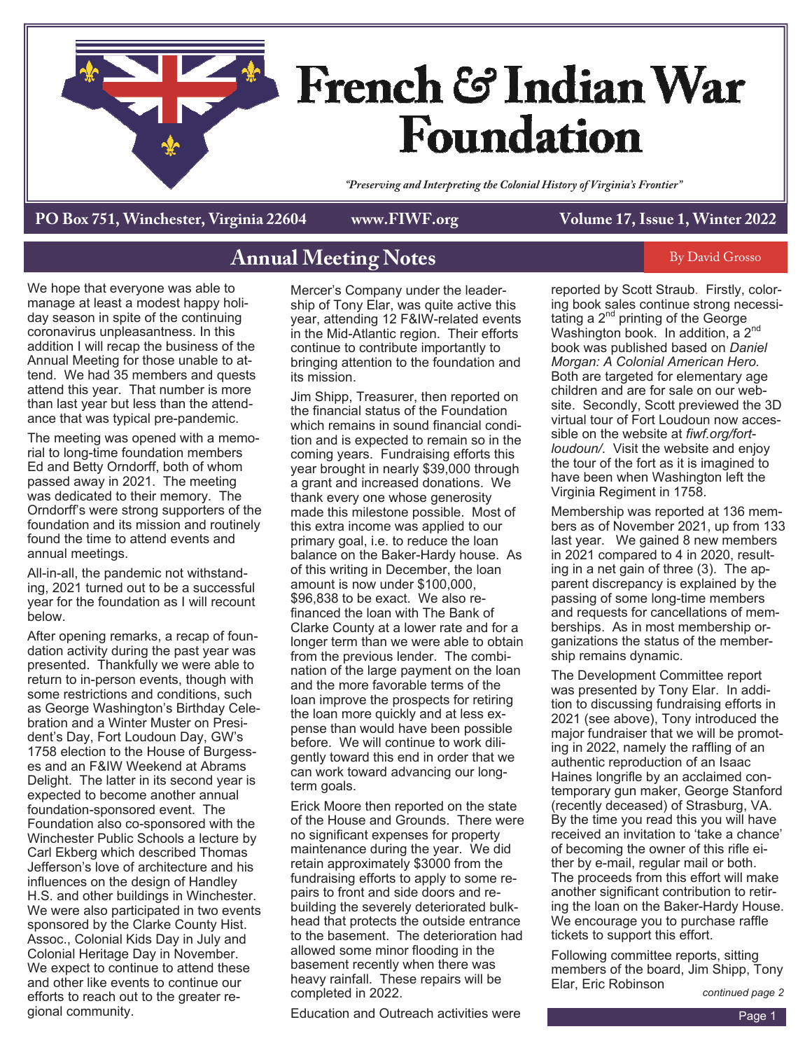

**PO Box 751, Winchester, Virginia 22604 www.FIWF.org Volume 17, Issue 1, Winter 2022**

#### **Annual Meeting Notes By David Grosso**

We hope that everyone was able to manage at least a modest happy holiday season in spite of the continuing coronavirus unpleasantness. In this addition I will recap the business of the Annual Meeting for those unable to attend. We had 35 members and quests attend this year. That number is more than last year but less than the attendance that was typical pre-pandemic.

The meeting was opened with a memorial to long-time foundation members Ed and Betty Orndorff, both of whom passed away in 2021. The meeting was dedicated to their memory. The Orndorff's were strong supporters of the foundation and its mission and routinely found the time to attend events and annual meetings.

All-in-all, the pandemic not withstanding, 2021 turned out to be a successful year for the foundation as I will recount below.

After opening remarks, a recap of foundation activity during the past year was presented. Thankfully we were able to return to in-person events, though with some restrictions and conditions, such as George Washington's Birthday Celebration and a Winter Muster on President's Day, Fort Loudoun Day, GW's 1758 election to the House of Burgesses and an F&IW Weekend at Abrams Delight. The latter in its second year is expected to become another annual foundation-sponsored event. The Foundation also co-sponsored with the Winchester Public Schools a lecture by Carl Ekberg which described Thomas Jefferson's love of architecture and his influences on the design of Handley H.S. and other buildings in Winchester. We were also participated in two events sponsored by the Clarke County Hist. Assoc., Colonial Kids Day in July and Colonial Heritage Day in November. We expect to continue to attend these and other like events to continue our efforts to reach out to the greater regional community.

Mercer's Company under the leadership of Tony Elar, was quite active this year, attending 12 F&IW-related events in the Mid-Atlantic region. Their efforts continue to contribute importantly to bringing attention to the foundation and its mission.

Jim Shipp, Treasurer, then reported on the financial status of the Foundation which remains in sound financial condition and is expected to remain so in the coming years. Fundraising efforts this year brought in nearly \$39,000 through a grant and increased donations. We thank every one whose generosity made this milestone possible. Most of this extra income was applied to our primary goal, i.e. to reduce the loan balance on the Baker-Hardy house. As of this writing in December, the loan amount is now under \$100,000, \$96,838 to be exact. We also refinanced the loan with The Bank of Clarke County at a lower rate and for a longer term than we were able to obtain from the previous lender. The combination of the large payment on the loan and the more favorable terms of the loan improve the prospects for retiring the loan more quickly and at less expense than would have been possible before. We will continue to work diligently toward this end in order that we can work toward advancing our longterm goals.

Erick Moore then reported on the state of the House and Grounds. There were no significant expenses for property maintenance during the year. We did retain approximately \$3000 from the fundraising efforts to apply to some repairs to front and side doors and rebuilding the severely deteriorated bulkhead that protects the outside entrance to the basement. The deterioration had allowed some minor flooding in the basement recently when there was heavy rainfall. These repairs will be completed in 2022.

Education and Outreach activities were

reported by Scott Straub. Firstly, coloring book sales continue strong necessitating a  $2^{nd}$  printing of the George Washington book. In addition, a 2<sup>nd</sup> book was published based on *Daniel Morgan: A Colonial American Hero.* Both are targeted for elementary age children and are for sale on our website. Secondly, Scott previewed the 3D virtual tour of Fort Loudoun now accessible on the website at *fiwf.org/fortloudoun/*. Visit the website and enjoy the tour of the fort as it is imagined to have been when Washington left the Virginia Regiment in 1758.

Membership was reported at 136 members as of November 2021, up from 133 last year. We gained 8 new members in 2021 compared to 4 in 2020, resulting in a net gain of three (3). The apparent discrepancy is explained by the passing of some long-time members and requests for cancellations of memberships. As in most membership organizations the status of the membership remains dynamic.

The Development Committee report was presented by Tony Elar. In addition to discussing fundraising efforts in 2021 (see above), Tony introduced the major fundraiser that we will be promoting in 2022, namely the raffling of an authentic reproduction of an Isaac Haines longrifle by an acclaimed contemporary gun maker, George Stanford (recently deceased) of Strasburg, VA. By the time you read this you will have received an invitation to 'take a chance' of becoming the owner of this rifle either by e-mail, regular mail or both. The proceeds from this effort will make another significant contribution to retiring the loan on the Baker-Hardy House. We encourage you to purchase raffle tickets to support this effort.

Following committee reports, sitting members of the board, Jim Shipp, Tony Elar, Eric Robinson

*continued page 2*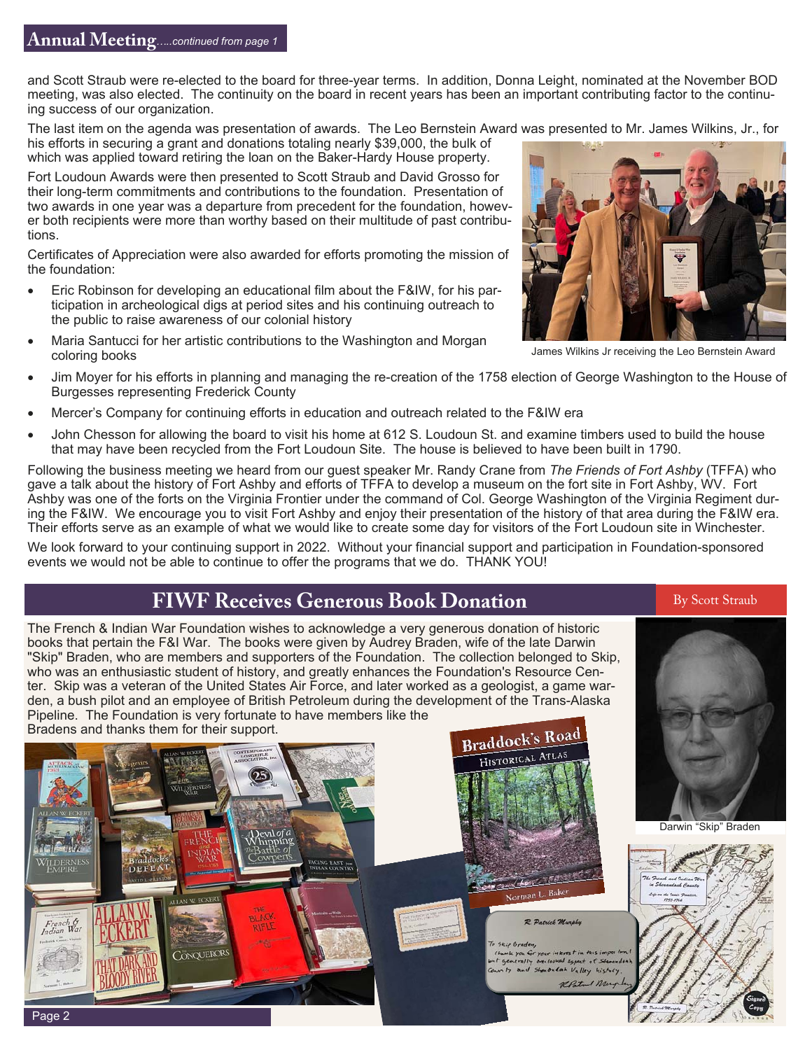and Scott Straub were re-elected to the board for three-year terms. In addition, Donna Leight, nominated at the November BOD meeting, was also elected. The continuity on the board in recent years has been an important contributing factor to the continuing success of our organization.

The last item on the agenda was presentation of awards. The Leo Bernstein Award was presented to Mr. James Wilkins, Jr., for

his efforts in securing a grant and donations totaling nearly \$39,000, the bulk of which was applied toward retiring the loan on the Baker-Hardy House property.

Fort Loudoun Awards were then presented to Scott Straub and David Grosso for their long-term commitments and contributions to the foundation. Presentation of two awards in one year was a departure from precedent for the foundation, however both recipients were more than worthy based on their multitude of past contributions.

Certificates of Appreciation were also awarded for efforts promoting the mission of the foundation:

- Eric Robinson for developing an educational film about the F&IW, for his participation in archeological digs at period sites and his continuing outreach to the public to raise awareness of our colonial history
- Maria Santucci for her artistic contributions to the Washington and Morgan coloring books
- Jim Moyer for his efforts in planning and managing the re-creation of the 1758 election of George Washington to the House of Burgesses representing Frederick County
- Mercer's Company for continuing efforts in education and outreach related to the F&IW era
- John Chesson for allowing the board to visit his home at 612 S. Loudoun St. and examine timbers used to build the house that may have been recycled from the Fort Loudoun Site. The house is believed to have been built in 1790.

Following the business meeting we heard from our guest speaker Mr. Randy Crane from *The Friends of Fort Ashby* (TFFA) who gave a talk about the history of Fort Ashby and efforts of TFFA to develop a museum on the fort site in Fort Ashby, WV. Fort Ashby was one of the forts on the Virginia Frontier under the command of Col. George Washington of the Virginia Regiment during the F&IW. We encourage you to visit Fort Ashby and enjoy their presentation of the history of that area during the F&IW era. Their efforts serve as an example of what we would like to create some day for visitors of the Fort Loudoun site in Winchester.

We look forward to your continuing support in 2022. Without your financial support and participation in Foundation-sponsored events we would not be able to continue to offer the programs that we do. THANK YOU!

#### **FIWF Receives Generous Book Donation**

The French & Indian War Foundation wishes to acknowledge a very generous donation of historic books that pertain the F&I War. The books were given by Audrey Braden, wife of the late Darwin "Skip" Braden, who are members and supporters of the Foundation. The collection belonged to Skip, who was an enthusiastic student of history, and greatly enhances the Foundation's Resource Center. Skip was a veteran of the United States Air Force, and later worked as a geologist, a game warden, a bush pilot and an employee of British Petroleum during the development of the Trans-Alaska Pipeline. The Foundation is very fortunate to have members like the





James Wilkins Jr receiving the Leo Bernstein Award



Darwin "Skip" Braden



By Scott Straub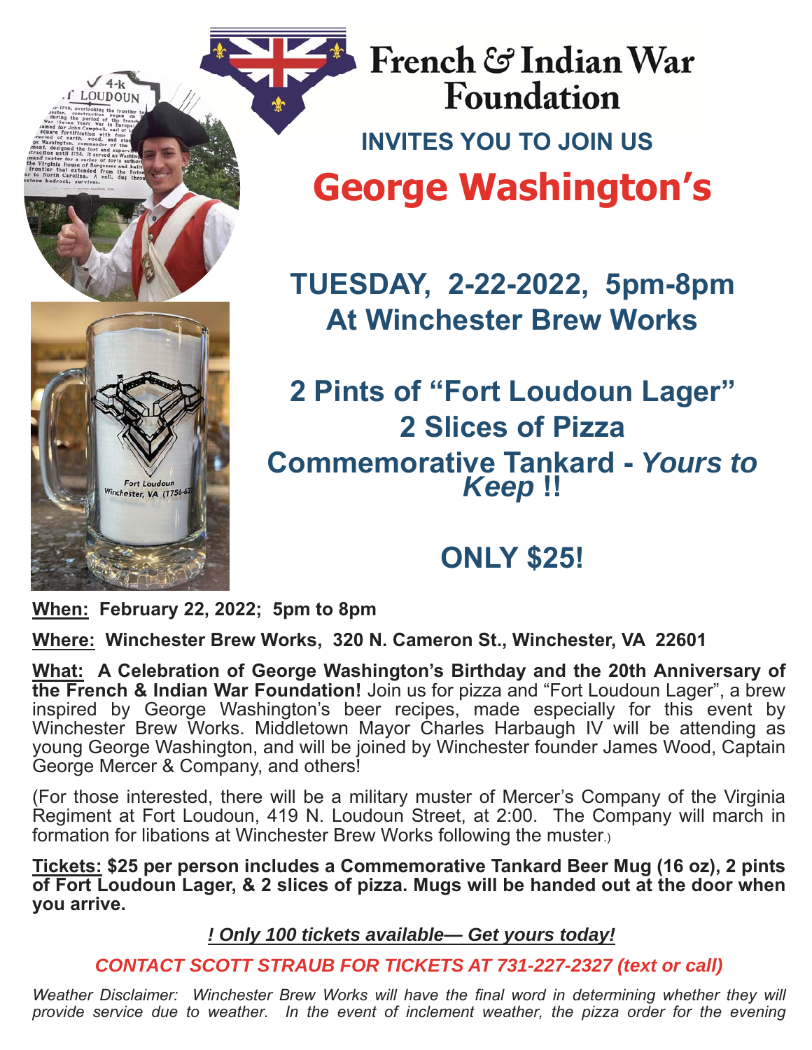

LOUDOUN

French & Indian War **Foundation INVITES YOU TO JOIN US George Washington's** 

**TUESDAY, 2-22-2022, 5pm-8pm At Winchester Brew Works** 

## **2 Pints of "Fort Loudoun Lager" 2 Slices of Pizza Commemorative Tankard -** *Yours to Keep* **!!**

# **ONLY \$25!**

**When: February 22, 2022; 5pm to 8pm**

**Where: Winchester Brew Works, 320 N. Cameron St., Winchester, VA 22601**

**What: A Celebration of George Washington's Birthday and the 20th Anniversary of the French & Indian War Foundation!** Join us for pizza and "Fort Loudoun Lager", a brew inspired by George Washington's beer recipes, made especially for this event by Winchester Brew Works. Middletown Mayor Charles Harbaugh IV will be attending as young George Washington, and will be joined by Winchester founder James Wood, Captain George Mercer & Company, and others!

(For those interested, there will be a military muster of Mercer's Company of the Virginia Regiment at Fort Loudoun, 419 N. Loudoun Street, at 2:00. The Company will march in formation for libations at Winchester Brew Works following the muster.)

**Tickets: \$25 per person includes a Commemorative Tankard Beer Mug (16 oz), 2 pints of Fort Loudoun Lager, & 2 slices of pizza. Mugs will be handed out at the door when you arrive.** 

*! Only 100 tickets available— Get yours today!* 

*CONTACT SCOTT STRAUB FOR TICKETS AT 731-227-2327 (text or call)* 

*Weather Disclaimer: Winchester Brew Works will have the final word in determining whether they will provide service due to weather. In the event of inclement weather, the pizza order for the evening*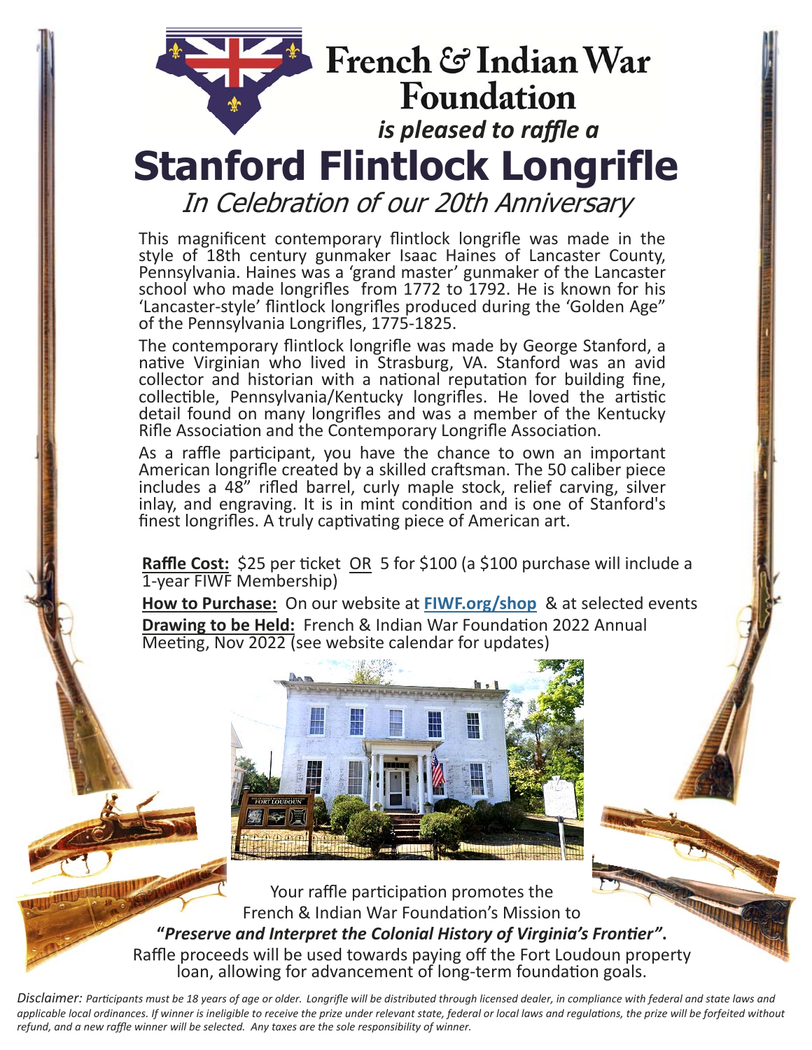# French & Indian War **Foundation** *is pleased to raffle a*  **Stanford Flintlock Longrifle**  In Celebration of our 20th Anniversary

This magnificent contemporary flintlock longrifle was made in the style of 18th century gunmaker Isaac Haines of Lancaster County, Pennsylvania. Haines was a 'grand master' gunmaker of the Lancaster school who made longrifles from 1772 to 1792. He is known for his 'Lancaster‐style' flintlock longrifles produced during the 'Golden Age" of the Pennsylvania Longrifles, 1775‐1825.

The contemporary flintlock longrifle was made by George Stanford, a native Virginian who lived in Strasburg, VA. Stanford was an avid collector and historian with a national reputation for building fine, collectible, Pennsylvania/Kentucky longrifles. He loved the artistic detail found on many longrifles and was a member of the Kentucky Rifle Association and the Contemporary Longrifle Association.

As a raffle participant, you have the chance to own an important American longrifle created by a skilled craftsman. The 50 caliber piece includes a 48" rifled barrel, curly maple stock, relief carving, silver inlay, and engraving. It is in mint condition and is one of Stanford's finest longrifles. A truly captivating piece of American art.

**Raffle Cost:** \$25 per Ɵcket OR 5 for \$100 (a \$100 purchase will include a 1‐year FIWF Membership)

**How to Purchase:** On our website at **FIWF.org/shop** & at selected events **Drawing to be Held:** French & Indian War Foundation 2022 Annual Meeting, Nov 2022 (see website calendar for updates)



Your raffle participation promotes the French & Indian War Foundation's Mission to **"***Preserve and Interpret the Colonial History of Virginia's FronƟer"***.**  Raffle proceeds will be used towards paying off the Fort Loudoun property loan, allowing for advancement of long-term foundation goals.

*Disclaimer: ParƟcipants must be 18 years of age or older. Longrifle will be distributed through licensed dealer, in compliance with federal and state laws and*  applicable local ordinances. If winner is ineligible to receive the prize under relevant state, federal or local laws and regulations, the prize will be forfeited without *refund, and a new raffle winner will be selected. Any taxes are the sole responsibility of winner.*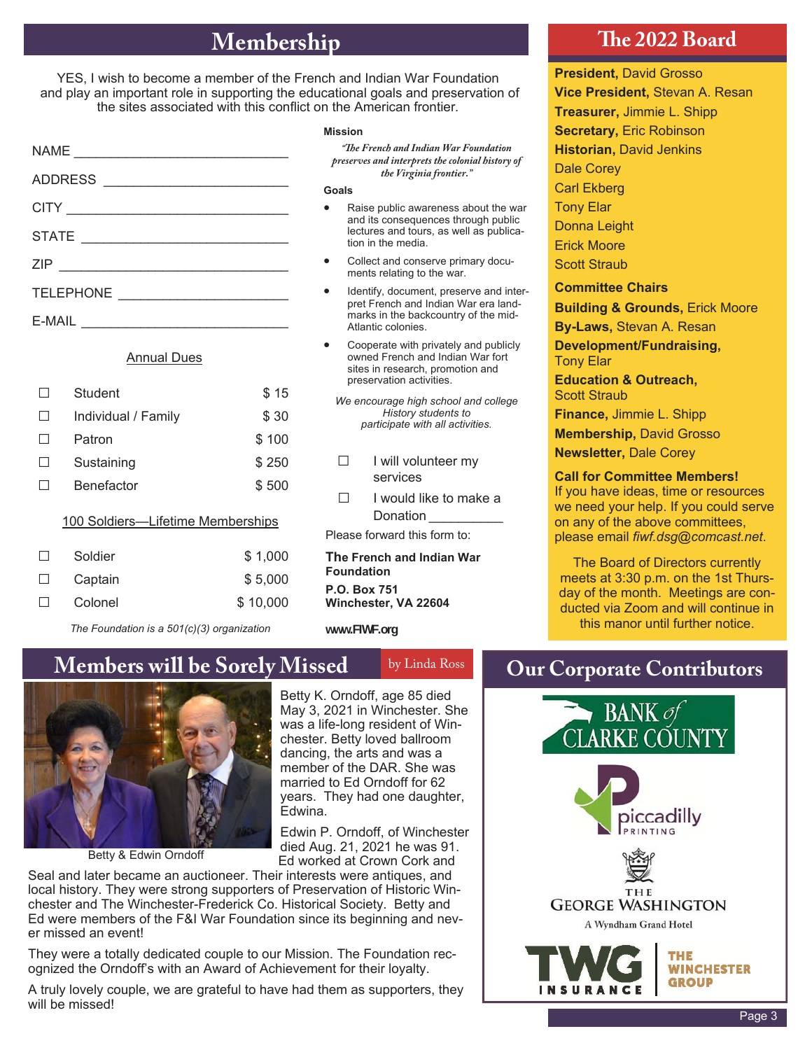## **Membership The 2022 Board**

YES, I wish to become a member of the French and Indian War Foundation and play an important role in supporting the educational goals and preservation of the sites associated with this conflict on the American frontier*.* 

| TELEPHONE |  |  |  |
|-----------|--|--|--|
|           |  |  |  |

#### Annual Dues

|                                   | Student             | \$15     |
|-----------------------------------|---------------------|----------|
| ΙI                                | Individual / Family | \$ 30    |
|                                   | Patron              | \$100    |
|                                   | Sustaining          | \$250    |
|                                   | Benefactor          | \$500    |
| 100 Soldiers-Lifetime Memberships |                     |          |
| $\mathsf{L}$                      | Soldier             | \$1,000  |
|                                   | Captain             | \$5,000  |
|                                   | Colonel             | \$10.000 |

*The Foundation is a 501(c)(3) organization* 

#### **Mission**

*"The French and Indian War Foundation preserves and interprets the colonial history of the Virginia frontier."* 

**Goals** 

- Raise public awareness about the war and its consequences through public lectures and tours, as well as publication in the media.
- Collect and conserve primary documents relating to the war.
- Identify, document, preserve and interpret French and Indian War era landmarks in the backcountry of the mid-Atlantic colonies.
- Cooperate with privately and publicly owned French and Indian War fort sites in research, promotion and preservation activities.
- *We encourage high school and college History students to participate with all activities.*
- □ I will volunteer my services
- $\Box$  I would like to make a Donation

Please forward this form to:

**The French and Indian War Foundation P.O. Box 751 Winchester, VA 22604**

**www.FIWF.org** 

### **Members will be Sorely Missed by Linda Ross Qur Corporate Contributors**



Betty & Edwin Orndoff

Betty K. Orndoff, age 85 died May 3, 2021 in Winchester. She was a life-long resident of Winchester. Betty loved ballroom dancing, the arts and was a member of the DAR. She was married to Ed Orndoff for 62 years. They had one daughter, Edwina.

Edwin P. Orndoff, of Winchester died Aug. 21, 2021 he was 91. Ed worked at Crown Cork and

Seal and later became an auctioneer. Their interests were antiques, and local history. They were strong supporters of Preservation of Historic Winchester and The Winchester-Frederick Co. Historical Society. Betty and Ed were members of the F&I War Foundation since its beginning and never missed an event!

They were a totally dedicated couple to our Mission. The Foundation recognized the Orndoff's with an Award of Achievement for their loyalty.

A truly lovely couple, we are grateful to have had them as supporters, they will be missed!

**President,** David Grosso **Vice President,** Stevan A. Resan **Treasurer,** Jimmie L. Shipp **Secretary,** Eric Robinson **Historian,** David Jenkins Dale Corey Carl Ekberg Tony Elar Donna Leight Erick Moore Scott Straub **Committee Chairs Building & Grounds,** Erick Moore **By-Laws,** Stevan A. Resan

**Development/Fundraising,**  Tony Elar

**Education & Outreach,**  Scott Straub

**Finance,** Jimmie L. Shipp

**Membership,** David Grosso

**Newsletter,** Dale Corey

#### **Call for Committee Members!**

If you have ideas, time or resources we need your help. If you could serve on any of the above committees, please email *fiwf.dsg@comcast.net*.

The Board of Directors currently meets at 3:30 p.m. on the 1st Thursday of the month. Meetings are conducted via Zoom and will continue in this manor until further notice.